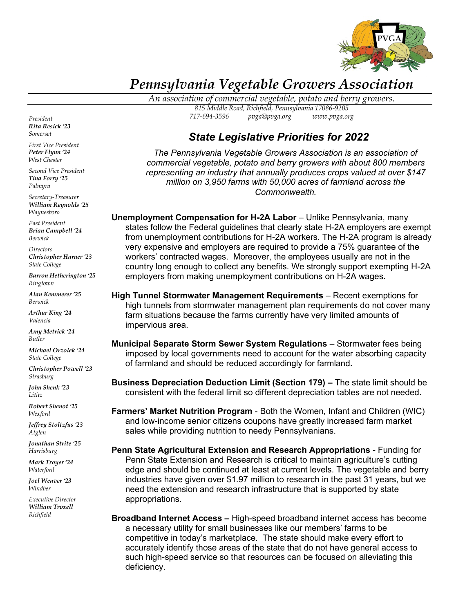

## *Pennsylvania Vegetable Growers Association*

*An association of commercial vegetable, potato and berry growers.*

*815 Middle Road, Richfield, Pennsylvania 17086-9205 717-694-3596 [pvga@pvga.org](mailto:pvga@pvga.org) [www.pvga.org](http://www.pvga.org/)*

## *State Legislative Priorities for 2022*

*The Pennsylvania Vegetable Growers Association is an association of commercial vegetable, potato and berry growers with about 800 members representing an industry that annually produces crops valued at over \$147 million on 3,950 farms with 50,000 acres of farmland across the Commonwealth.*

**Unemployment Compensation for H-2A Labor** – Unlike Pennsylvania, many states follow the Federal guidelines that clearly state H-2A employers are exempt from unemployment contributions for H-2A workers. The H-2A program is already very expensive and employers are required to provide a 75% guarantee of the workers' contracted wages. Moreover, the employees usually are not in the country long enough to collect any benefits. We strongly support exempting H-2A employers from making unemployment contributions on H-2A wages.

**High Tunnel Stormwater Management Requirements** – Recent exemptions for high tunnels from stormwater management plan requirements do not cover many farm situations because the farms currently have very limited amounts of impervious area.

**Municipal Separate Storm Sewer System Regulations** – Stormwater fees being imposed by local governments need to account for the water absorbing capacity of farmland and should be reduced accordingly for farmland**.**

**Business Depreciation Deduction Limit (Section 179) –** The state limit should be consistent with the federal limit so different depreciation tables are not needed.

**Farmers' Market Nutrition Program** - Both the Women, Infant and Children (WIC) and low-income senior citizens coupons have greatly increased farm market sales while providing nutrition to needy Pennsylvanians.

**Penn State Agricultural Extension and Research Appropriations** - Funding for Penn State Extension and Research is critical to maintain agriculture's cutting edge and should be continued at least at current levels. The vegetable and berry industries have given over \$1.97 million to research in the past 31 years, but we need the extension and research infrastructure that is supported by state appropriations.

**Broadband Internet Access –** High-speed broadband internet access has become a necessary utility for small businesses like our members' farms to be competitive in today's marketplace. The state should make every effort to accurately identify those areas of the state that do not have general access to such high-speed service so that resources can be focused on alleviating this deficiency.

*President Rita Resick '23 Somerset*

*First Vice President Peter Flynn '24 West Chester*

*Second Vice President Tina Forry '25 Palmyra*

*Secretary-Treasurer William Reynolds '25 Waynesboro*

*Past President Brian Campbell '24 Berwick*

*Directors Christopher Harner '23 State College*

*Barron Hetherington '25 Ringtown*

*Alan Kemmerer '25 Berwick*

*Arthur King '24 Valencia*

*Amy Metrick '24 Butler*

*Michael Orzolek '24 State College*

*Christopher Powell '23 Strasburg*

*John Shenk '23 Lititz*

*Robert Shenot '25 Wexford*

*Jeffrey Stoltzfus '23 Atglen*

*Jonathan Strite '25 Harrisburg* 

*Mark Troyer '24 Waterford*

*Joel Weaver '23 Windber*

*Executive Director William Troxell Richfield*